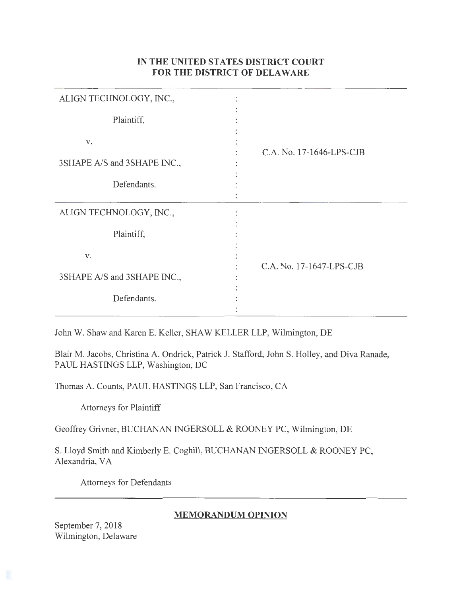# **IN THE UNITED STATES DISTRICT COURT FOR THE DISTRICT OF DELAWARE**

| ALIGN TECHNOLOGY, INC.,           |                          |
|-----------------------------------|--------------------------|
| Plaintiff,                        |                          |
| V.<br>3SHAPE A/S and 3SHAPE INC., | C.A. No. 17-1646-LPS-CJB |
| Defendants.                       |                          |
| ALIGN TECHNOLOGY, INC.,           |                          |
| Plaintiff,                        |                          |
| V.                                | C.A. No. 17-1647-LPS-CJB |
| 3SHAPE A/S and 3SHAPE INC.,       |                          |
| Defendants.                       |                          |

John W. Shaw and Karen E. Keller, SHAW KELLER LLP, Wilmington, DE

Blair M. Jacobs, Christina A. Ondrick, Patrick J. Stafford, John S. Holley, and Diva Ranade, PAUL HASTINGS LLP, Washington, DC

Thomas A. Counts, PAUL HASTINGS LLP, San Francisco, CA

Attorneys for Plaintiff

Geoffrey Grivner, BUCHANAN INGERSOLL & ROONEY PC, Wilmington, DE

S. Lloyd Smith and Kimberly E. Coghill, BUCHANAN INGERSOLL & ROONEY PC, Alexandria, VA

Attorneys for Defendants

# **MEMORANDUM OPINION**

September 7, 2018 Wilmington, Delaware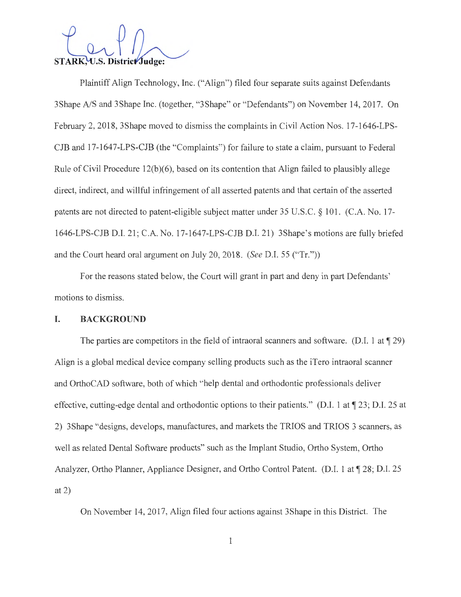STARK, U.S. District Judge:

Plaintiff Align Technology, Inc. ("Align") filed four separate suits against Defendants 3Shape A/S and 3Shape Inc. (together, "3Shape" or "Defendants") on November 14, 2017. On February 2, 2018, 3Shape moved to dismiss the complaints in Civil Action Nos. 17-1646-LPS-CJB and 17-1647-LPS-CJB (the "Complaints") for failure to state a claim, pursuant to Federal Rule of Civil Procedure 12(b)(6), based on its contention that Align failed to plausibly allege direct, indirect, and willful infringement of all asserted patents and that certain of the asserted patents are not directed to patent-eligible subject matter under 35 U.S.C. § 101. (C.A. No. 17- 1646-LPS-CJB D.I. 21; C.A. No. 17-1647-LPS-CJB D.I. 21) 3Shape's motions are fully briefed and the Court heard oral argument on July 20, 2018. *(See* D.I. 55 ("Tr."))

For the reasons stated below, the Court will grant in part and deny in part Defendants' motions to dismiss.

#### **I. BACKGROUND**

The parties are competitors in the field of intraoral scanners and software. (D.I. 1 at  $\parallel$  29) Align is a global medical device company selling products such as the iTero intraoral scanner and OrthoCAD software, both of which "help dental and orthodontic professionals deliver effective, cutting-edge dental and orthodontic options to their patients." (D.I. 1 at  $\P$  23; D.I. 25 at 2) 3Shape "designs, develops, manufactures, and markets the TRIOS and TRIOS 3 scanners, as well as related Dental Software products" such as the Implant Studio, Ortho System, Ortho Analyzer, Ortho Planner, Appliance Designer, and Ortho Control Patent. (D.I. 1 at 128; D.I. 25 at 2)

On November 14, 2017, Align filed four actions against 3Shape in this District. The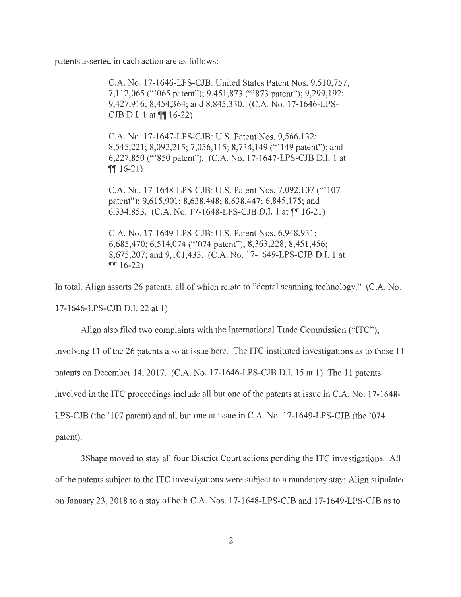patents asserted in each action are as follows:

C.A. No. 17-1646-LPS-CJB: United States Patent Nos. 9,510,757; 7,112,065 ("'065 patent"); 9,451 ,873 ('" 873 patent"); 9,299,192; 9,427,916; 8,454,364; and 8,845,330. (C.A. No. 17-1646-LPS-CJB D.I. 1 at  $\P\P$  16-22)

C.A. No. 17-1647-LPS-CJB: U.S. Patent Nos. 9,566,132; 8,545,221; 8,092,215; 7,056,115; 8,734,149 ("'149 patent"); and 6,227,850 ('" 850 patent"). (C.A. No. 17-1647-LPS-CJB D.I. 1 at  $\P\P$  16-21)

C.A. No. 17-1648-LPS-CJB: U.S. Patent Nos. 7,092,107 ('" 107 patent"); 9,615,901; 8,638,448; 8,638,447; 6,845,175; and 6,334,853. (C.A. No. 17-1648-LPS-CJB D.I. 1 at  $\P$ [16-21)

C.A. No. 17-1649-LPS-CJB: U.S. Patent Nos. 6,948,931 ; 6,685,470; 6,514,074 ('"074 patent"); 8,363,228; 8,451 ,456; 8,675,207; and 9,101 ,433. (C.A. No. 17-1649-LPS-CJB D.I. 1 at  $\P\P$  16-22)

In total, Align asserts 26 patents, all of which relate to "dental scanning technology." (C.A. No. 17-1646-LPS-CJB D.I. 22 at 1)

Align also filed two complaints with the International Trade Commission ("ITC"), involving 11 of the 26 patents also at issue here. The ITC instituted investigations as to those 11 patents on December 14, 2017. (C.A. No. 17-1646-LPS-CJB D.I. 15 at 1) The 11 patents involved in the ITC proceedings include all but one of the patents at issue in C.A. No. 17-1648- LPS-CJB (the '107 patent) and all but one at issue in C.A. No. 17-1649-LPS-CJB (the '074 patent).

3 Shape moved to stay all four District Court actions pending the ITC investigations. All of the patents subject to the ITC investigations were subject to a mandatory stay; Align stipulated on January 23, 2018 to a stay of both C.A. Nos. 17-1648-LPS-CJB and 17-1649-LPS-CJB as to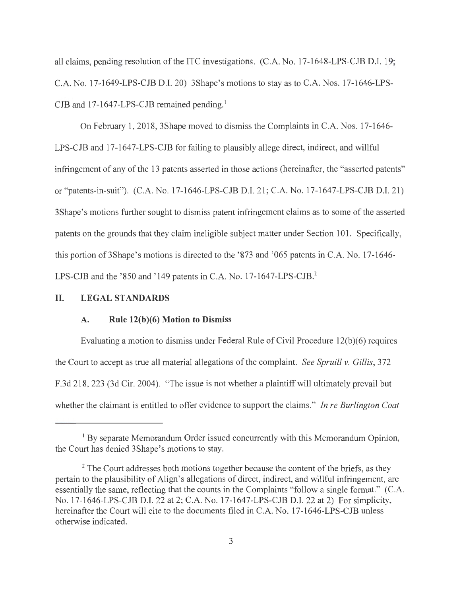all claims, pending resolution of the ITC investigations. (C.A. No. 17-1648-LPS-CJB D.I. 19; C.A. No. 17-1649-LPS-CJB D.I. 20) 3Shape's motions to stay as to C.A. Nos. 17-1646-LPS-CJB and  $17-1647$ -LPS-CJB remained pending.<sup>1</sup>

On February 1, 2018, 3Shape moved to dismiss the Complaints in C.A. Nos. 17-1646- LPS-CJB and 17-1647-LPS-CJB for failing to plausibly allege direct, indirect, and willful infringement of any of the 13 patents asserted in those actions (hereinafter, the "asserted patents" or "patents-in-suit"). (C.A. No. 17-1646-LPS-CJB D.I. 21 ; C.A. No. 17-1647-LPS-CJB D.I. 21) 3Shape's motions further sought to dismiss patent infringement claims as to some of the asserted patents on the grounds that they claim ineligible subject matter under Section 101. Specifically, this portion of 3Shape's motions is directed to the '873 and '065 patents in C.A. No. 17-1646-LPS-CJB and the '850 and '149 patents in C.A. No. 17-1647-LPS-CJB.<sup>2</sup>

### **II. LEGAL STANDARDS**

### **A. Rule 12(b)(6) Motion to Dismiss**

Evaluating a motion to dismiss under Federal Rule of Civil Procedure 12(b)(6) requires the Court to accept as true all material allegations of the complaint. *See Spruill v. Gillis,* 372 F.3d 218, 223 (3d Cir. 2004). "The issue is not whether a plaintiff will ultimately prevail but whether the claimant is entitled to offer evidence to support the claims." *In re Burlington Coat* 

<sup>&</sup>lt;sup>1</sup> By separate Memorandum Order issued concurrently with this Memorandum Opinion, the Court has denied 3Shape's motions to stay.

<sup>&</sup>lt;sup>2</sup> The Court addresses both motions together because the content of the briefs, as they pertain to the plausibility of Align's allegations of direct, indirect, and willful infringement, are essentially the same, reflecting that the counts in the Complaints "follow a single format." (C.A. No. 17-1646-LPS-CJB D.I. 22 at 2; C.A. No. 17-1647-LPS-CJB D.I. 22 at 2) For simplicity, hereinafter the Court will cite to the documents filed in C.A. No. 17-1646-LPS-CJB unless otherwise indicated.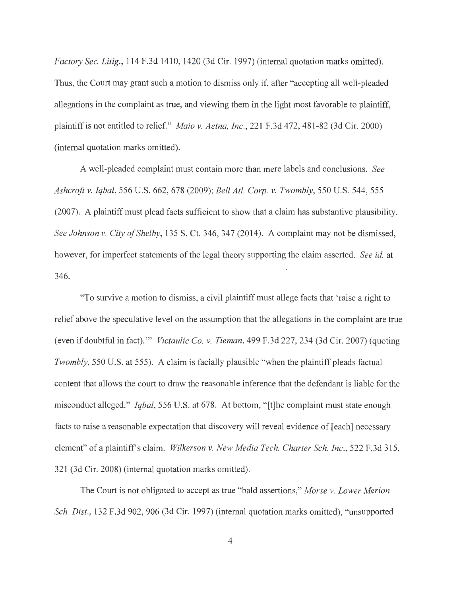*Factory Sec. Litig.,* 114 F.3d 1410, 1420 (3d Cir. 1997) (internal quotation marks omitted). Thus, the Court may grant such a motion to dismiss only if, after "accepting all well-pleaded allegations in the complaint as true, and viewing them in the light most favorable to plaintiff, plaintiff is not entitled to relief." *Maio v. Aetna, Inc. ,* 221 F.3d 472, 481-82 (3d Cir. 2000) (internal quotation marks omitted).

A well-pleaded complaint must contain more than mere labels and conclusions. *See Ashcroft v. Iqbal,* 556 U.S. 662, 678 (2009); *Bell At!. Corp. v. Twombly,* 550 U.S. 544, 555 (2007). A plaintiff must plead facts sufficient to show that a claim has substantive plausibility. *See Johnson v. City of Shelby,* 135 S. Ct. 346, 347 (2014). A complaint may not be dismissed, however, for imperfect statements of the legal theory supporting the claim asserted. *See id.* at 346.

"To survive a motion to dismiss, a civil plaintiff must allege facts that 'raise a right to relief above the speculative level on the assumption that the allegations in the complaint are true (even if doubtful in fact)."' *Victaulic Co. v. Tieman,* 499 F.3d 227, 234 (3d Cir. 2007) (quoting *Twombly,* 550 U.S. at 555). A claim is facially plausible "when the plaintiff pleads factual content that allows the court to draw the reasonable inference that the defendant is liable for the misconduct alleged." *Iqbal,* 556 U.S. at 678. At bottom, "[t]he complaint must state enough facts to raise a reasonable expectation that discovery will reveal evidence of [each] necessary element" of a plaintiffs claim. *Wilkerson v. New Media Tech. Charter Sch. Inc.,* 522 F.3d 315, 321 (3d Cir. 2008) (internal quotation marks omitted).

The Court is not obligated to accept as true "bald assertions," *Morse v. Lower Merion Sch. Dist.,* 132 F.3d 902, 906 (3d Cir. 1997) (internal quotation marks omitted), "unsupported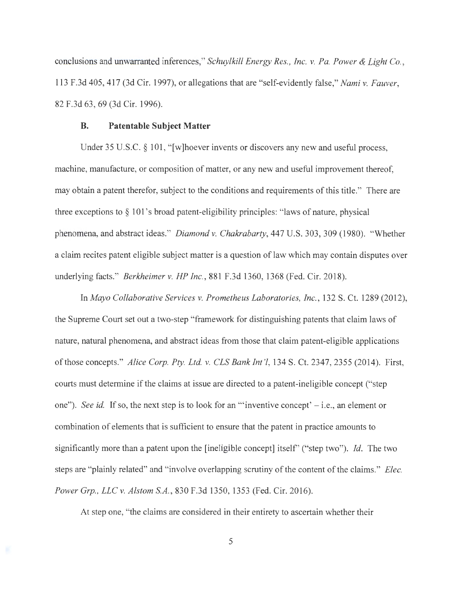conclusions and unwarranted inferences," *Schuylkill Energy Res. , Inc. v. Pa. Power & Light Co.,*  113 F.3d 405,417 (3d Cir. 1997), or allegations that are "self-evidently false," *Nami v. Fauver,*  82 F.3d 63, 69 (3d Cir. 1996).

#### **B. Patentable Subject Matter**

Under 35 U.S.C. § 101, "[w]hoever invents or discovers any new and useful process, machine, manufacture, or composition of matter, or any new and useful improvement thereof, may obtain a patent therefor, subject to the conditions and requirements of this title." There are three exceptions to  $\S 101$ 's broad patent-eligibility principles: "laws of nature, physical phenomena, and abstract ideas." *Diamond v. Chakrabarty,* 447 U.S. 303, 309 (1980). "Whether a claim recites patent eligible subject matter is a question of law which may contain disputes over underlying facts." *Berkheimer v. HP Inc.,* 881 F.3d 1360, 1368 (Fed. Cir. 2018).

In *Mayo Collaborative Services v. Prometheus Laboratories, Inc.,* 132 S. Ct. 1289 (2012), the Supreme Court set out a two-step "framework for distinguishing patents that claim laws of nature, natural phenomena, and abstract ideas from those that claim patent-eligible applications of those concepts." *Alice Corp. Pty. Ltd. v. CLS Bank Int '!,* 134 S. Ct. 2347, 2355 (2014). First, courts must determine if the claims at issue are directed to a patent-ineligible concept ("step one"). *See id.* If so, the next step is to look for an ""inventive concept"  $-$  i.e., an element or combination of elements that is sufficient to ensure that the patent in practice amounts to significantly more than a patent upon the [ineligible concept] itself' ("step two"). *Id.* The two steps are "plainly related" and "involve overlapping scrutiny of the content of the claims." *Elec. Power Grp., LLC v. Alstom SA.,* 830 F.3d 1350, 1353 (Fed. Cir. 2016).

At step one, "the claims are considered in their entirety to ascertain whether their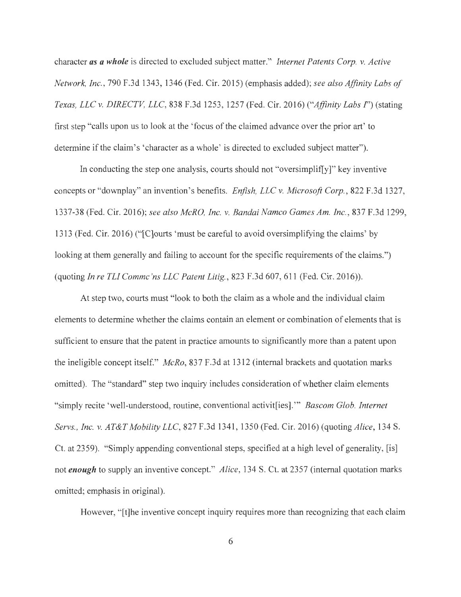character *as a whole* is directed to excluded subject matter." *Internet Patents Corp. v. Active Network, Inc.,* 790 F.3d 1343, 1346 (Fed. Cir. 2015) (emphasis added); *see also Affinity Labs of Texas, LLC v. DIRECTV, LLC,* 838 F.3d 1253, 1257 (Fed. Cir. 2016) *("Affinity Labs I")* (stating first step "calls upon us to look at the 'focus of the claimed advance over the prior art' to determine if the claim's 'character as a whole' is directed to excluded subject matter").

In conducting the step one analysis, courts should not "oversimplif[y]" key inventive concepts or "downplay" an invention's benefits. *Enfish, LLC v. Microsoft Corp.,* 822 F.3d 1327, 1337-38 (Fed. Cir. 2016); *see also McRO, Inc. v. Bandai Namco Games Am. Inc.,* 837 F.3d 1299, 1313 (Fed. Cir. 2016) (" [C]ourts 'must be careful to avoid oversimplifying the claims' by looking at them generally and failing to account for the specific requirements of the claims.") (quoting *In re TL! Commc 'ns LLC Patent Litig. ,* 823 F.3d 607, 611 (Fed. Cir. 2016)).

At step two, courts must "look to both the claim as a whole and the individual claim elements to determine whether the claims contain an element or combination of elements that is sufficient to ensure that the patent in practice amounts to significantly more than a patent upon the ineligible concept itself." *McRo,* 837 F.3d at 1312 (internal brackets and quotation marks omitted). The "standard" step two inquiry includes consideration of whether claim elements "simply recite 'well-understood, routine, conventional activit[ies]. "' *Bascom Glob. Internet Servs. , Inc. v. AT&T Mobility LLC,* 827 F.3d 1341 , 1350 (Fed. Cir. 2016) (quoting *Alice,* 134 S. Ct. at 2359). "Simply appending conventional steps, specified at a high level of generality, [is] not *enough* to supply an inventive concept." *Alice,* 134 S. Ct. at 2357 (internal quotation marks omitted; emphasis in original).

However, "[t]he inventive concept inquiry requires more than recognizing that each claim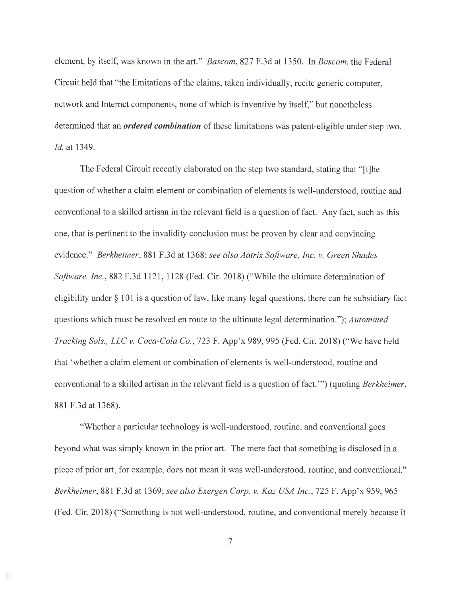element, by itself, was known in the art." *Bascom,* 827 F.3d at 1350. In *Bascom,* the Federal Circuit held that "the limitations of the claims, taken individually, recite generic computer, network and Internet components, none of which is inventive by itself," but nonetheless determined that an *ordered combination* of these limitations was patent-eligible under step two. *Id.* at 1349.

The Federal Circuit recently elaborated on the step two standard, stating that "[t]he question of whether a claim element or combination of elements is well-understood, routine and conventional to a skilled artisan in the relevant field is a question of fact. Any fact, such as this one, that is pertinent to the invalidity conclusion must be proven by clear and convincing evidence." *Berkheimer,* 881 F.3d at 1368; *see also Aatrix Software, Inc. v. Green Shades Software, Inc.,* 882 F.3d 1121, 1128 (Fed. Cir. 2018) ("While the ultimate determination of eligibility under § 101 is a question of law, like many legal questions, there can be subsidiary fact questions which must be resolved en route to the ultimate legal determination."); *Automated Tracking Sols., LLC v. Coca-Cola Co.,* 723 F. App'x 989, 995 (Fed. Cir. 2018) ("We have held that 'whether a claim element or combination of elements is well-understood, routine and conventional to a skilled artisan in the relevant field is a question of fact."') ( quoting *Berkheimer,*  881 F.3d at 1368).

"Whether a particular technology is well-understood, routine, and conventional goes beyond what was simply known in the prior art. The mere fact that something is disclosed in a piece of prior art, for example, does not mean it was well-understood, routine, and conventional." *Berkheimer,* 881 F.3d at 1369; *see also Exergen Corp. v. Kaz USA Inc.,* 725 F. App'x 959, 965 (Fed. Cir. 2018) ("Something is not well-understood, routine, and conventional merely because it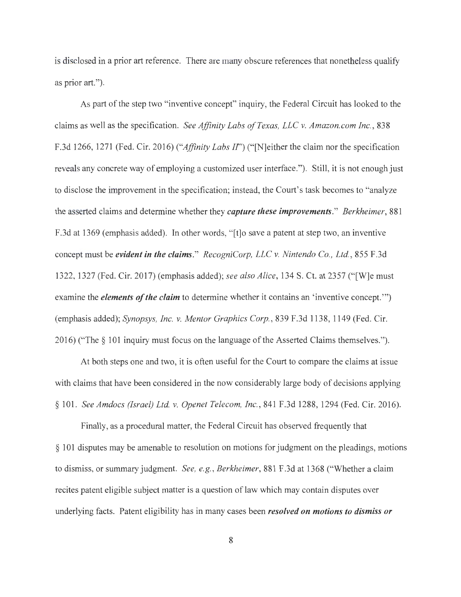is disclosed in a prior art reference. There are many obscure references that nonetheless qualify as prior art.").

As part of the step two "inventive concept" inquiry, the Federal Circuit has looked to the claims as well as the specification. *See Affinity Labs of Texas, LLC v. Amazon.com Inc.,* 838 F.3d 1266, 1271 (Fed. Cir. 2016) *("Affinity Labs If')* ("[N]either the claim nor the specification reveals any concrete way of employing a customized user interface."). Still, it is not enough just to disclose the improvement in the specification; instead, the Court's task becomes to "analyze the asserted claims and determine whether they *capture these improvements." Berkheimer,* 881 F.3d at 1369 (emphasis added). In other words, " [t]o save a patent at step two, an inventive concept must be *evident in the claims." RecogniCorp, LLC v. Nintendo Co. , Ltd.,* 855 F.3d 1322, 1327 (Fed. Cir. 2017) (emphasis added); *see also Alice,* 134 S. Ct. at 2357 ("[W]e must examine the *elements of the claim* to determine whether it contains an 'inventive concept."') (emphasis added); *Synopsys, Inc. v. Mentor Graphics Corp.,* 839 F.3d 1138, 1149 (Fed. Cir. 2016) ("The§ 101 inquiry must focus on the language of the Asserted Claims themselves.").

At both steps one and two, it is often useful for the Court to compare the claims at issue with claims that have been considered in the now considerably large body of decisions applying § 101. *See Amdocs (Israel) Ltd. v. Openet Telecom, Inc.,* 841 F.3d 1288, 1294 (Fed. Cir. 2016).

Finally, as a procedural matter, the Federal Circuit has observed frequently that § 101 disputes may be amenable to resolution on motions for judgment on the pleadings, motions to dismiss, or summary judgment. *See, e.g., Berkheimer,* 881 F.3d at 1368 ("Whether a claim recites patent eligible subject matter is a question of law which may contain disputes over underlying facts. Patent eligibility has in many cases been *resolved on motions to dismiss or*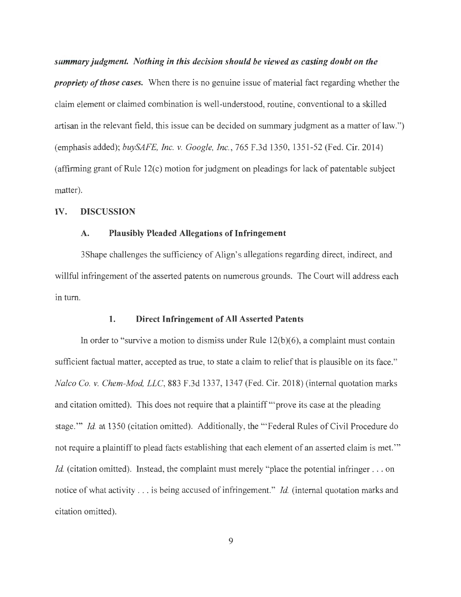*summary judgment. Nothing in this decision should be viewed as casting doubt on the propriety of those cases.* When there is no genuine issue of material fact regarding whether the claim element or claimed combination is well-understood, routine, conventional to a skilled artisan in the relevant field, this issue can be decided on summary judgment as a matter of law.") (emphasis added); *buySAFE, Inc. v. Google, Inc.,* 765 F.3d 1350, 1351-52 (Fed. Cir. 2014) (affirming grant of Rule 12(c) motion for judgment on pleadings for lack of patentable subject matter).

## **IV. DISCUSSION**

## **A. Plausibly Pleaded Allegations of Infringement**

3Shape challenges the sufficiency of Align's allegations regarding direct, indirect, and willful infringement of the asserted patents on numerous grounds. The Court will address each in turn.

#### **1. Direct Infringement of All Asserted Patents**

In order to "survive a motion to dismiss under Rule  $12(b)(6)$ , a complaint must contain sufficient factual matter, accepted as true, to state a claim to relief that is plausible on its face." *Nalco Co. v. Chem-Mod, LLC,* 883 F.3d 1337, 1347 (Fed. Cir. 2018) (internal quotation marks and citation omitted). This does not require that a plaintiff '"prove its case at the pleading stage."' *Id.* at 1350 (citation omitted). Additionally, the "'Federal Rules of Civil Procedure do not require a plaintiff to plead facts establishing that each element of an asserted claim is met. "' *Id.* (citation omitted). Instead, the complaint must merely "place the potential infringer . . . on notice of what activity ... is being accused of infringement." *Id.* (internal quotation marks and citation omitted).

9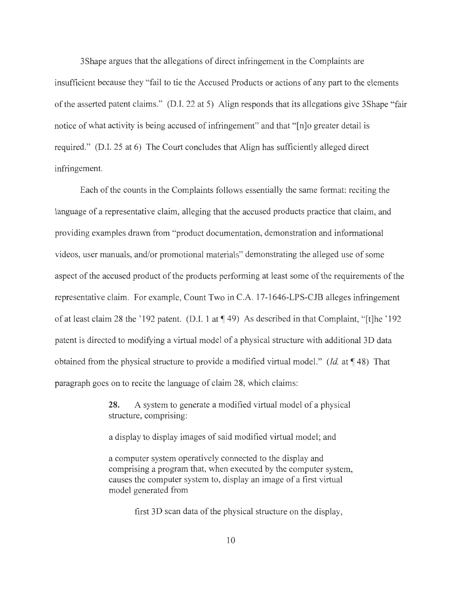3Shape argues that the allegations of direct infringement in the Complaints are insufficient because they "fail to tie the Accused Products or actions of any part to the elements of the asserted patent claims." (D.I. 22 at 5) Align responds that its allegations give 3Shape "fair notice of what activity is being accused of infringement" and that "[n]o greater detail is required." (D.I. 25 at 6) The Court concludes that Align has sufficiently alleged direct infringement.

Each of the counts in the Complaints follows essentially the same format: reciting the language of a representative claim, alleging that the accused products practice that claim, and providing examples drawn from "product documentation, demonstration and informational videos, user manuals, and/or promotional materials" demonstrating the alleged use of some aspect of the accused product of the products performing at least some of the requirements of the representative claim. For example, Count Two in C.A. 17-1646-LPS-CJB alleges infringement of at least claim 28 the '192 patent. (D.I. 1 at **1** 49) As described in that Complaint, "[t]he '192 patent is directed to modifying a virtual model of a physical structure with additional 3D data obtained from the physical structure to provide a modified virtual model." *(Id.* at **148)** That paragraph goes on to recite the language of claim 28, which claims:

> **28.** A system to generate a modified virtual model of a physical structure, comprising:

a display to display images of said modified virtual model; and

a computer system operatively connected to the display and comprising a program that, when executed by the computer system, causes the computer system to, display an image of a first virtual model generated from

first 3D scan data of the physical structure on the display,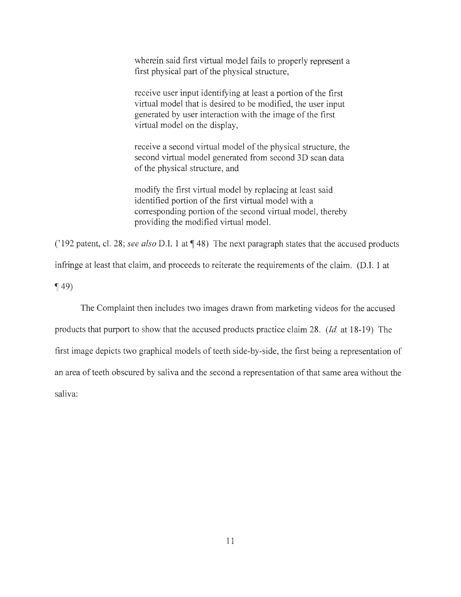wherein said first virtual model fails to properly represent a first physical part of the physical structure,

receive user input identifying at least a portion of the first virtual model that is desired to be modified, the user input generated by user interaction with the image of the first virtual model on the display,

receive a second virtual model of the physical structure, the second virtual model generated from second 3D scan data of the physical structure, and

modify the first virtual model by replacing at least said identified portion of the first virtual model with a corresponding portion of the second virtual model, thereby providing the modified virtual model.

('192 patent, cl. 28; *see also* D.I. 1 at  $\P$  48) The next paragraph states that the accused products

infringe at least that claim, and proceeds to reiterate the requirements of the claim. (D.I. 1 at

 $\P(49)$ 

The Complaint then includes two images drawn from marketing videos for the accused products that purport to show that the accused products practice claim 28. *(Id.* at 18-19) The first image depicts two graphical models of teeth side-by-side, the first being a representation of

an area of teeth obscured by saliva and the second a representation of that same area without the

saliva: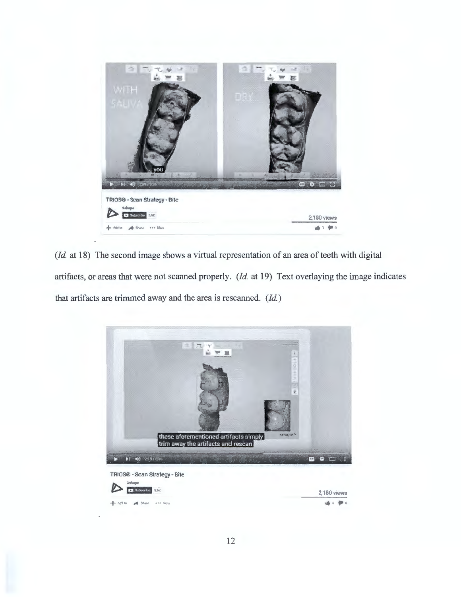

(*Id.* at 18) The second image shows a virtual representation of an area of teeth with digital artifacts, or areas that were not scanned properly. *(Id.* at 19) Text overlaying the image indicates that artifacts are trimmed away and the area is rescanned. *(Id.)* 

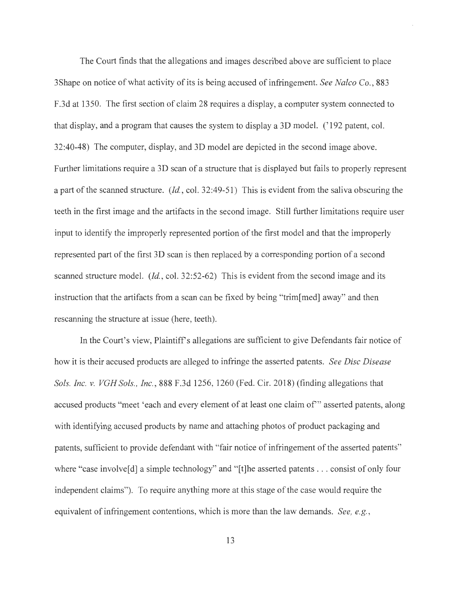The Court finds that the allegations and images described above are sufficient to place 3 Shape on notice of what activity of its is being accused of infringement. *See Nalco Co.,* 883 F.3d at 1350. The first section of claim 28 requires a display, a computer system connected to that display, and a program that causes the system to display a 3D model. (' 192 patent, col. 32:40-48) The computer, display, and 3D model are depicted in the second image above. Further limitations require a 3D scan of a structure that is displayed but fails to properly represent a part of the scanned structure. *(Id.,* col. 32:49-51) This is evident from the saliva obscuring the teeth in the first image and the artifacts in the second image. Still further limitations require user input to identify the improperly represented portion of the first model and that the improperly represented part of the first 3D scan is then replaced by a corresponding portion of a second scanned structure model. *(Id.,* col. 32:52-62) This is evident from the second image and its instruction that the artifacts from a scan can be fixed by being "trim[ med] away" and then rescanning the structure at issue (here, teeth).

In the Court's view, Plaintiff's allegations are sufficient to give Defendants fair notice of how it is their accused products are alleged to infringe the asserted patents. *See Disc Disease Sols. Inc. v. VGH Sols. , Inc.,* 888 F.3d 1256, 1260 (Fed. Cir. 2018) (finding allegations that accused products "meet 'each and every element of at least one claim of'" asserted patents, along with identifying accused products by name and attaching photos of product packaging and patents, sufficient to provide defendant with "fair notice of infringement of the asserted patents" where "case involve<sup>[d]</sup> a simple technology" and "[t]he asserted patents . . . consist of only four independent claims"). To require anything more at this stage of the case would require the equivalent of infringement contentions, which is more than the law demands. *See, e.g.,*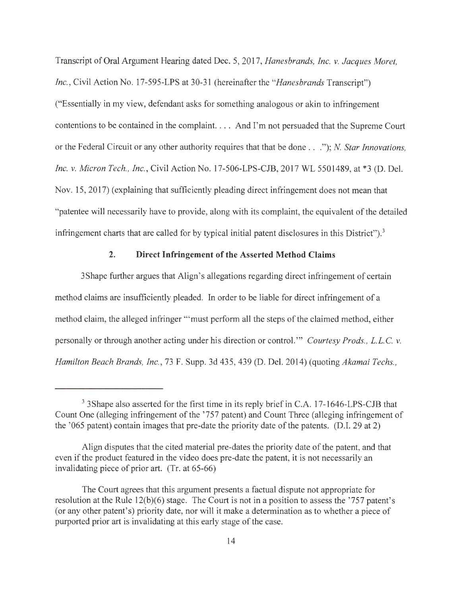Transcript of Oral Argument Hearing dated Dec. 5, 2017, *Hanesbrands, Inc. v. Jacques Moret, Inc.,* Civil Action No. 17-595-LPS at 30-31 (hereinafter the *"Hanesbrands* Transcript") ("Essentially in my view, defendant asks for something analogous or akin to infringement contentions to be contained in the complaint. . . . And I'm not persuaded that the Supreme Court or the Federal Circuit or any other authority requires that that be done . . ."); *N. Star Innovations, Inc. v. Micron Tech. , Inc.,* Civil Action No. 17-506-LPS-CJB, 2017 WL 5501489, at \*3 (D. Del. Nov. 15, 2017) (explaining that sufficiently pleading direct infringement does not mean that "patentee will necessarily have to provide, along with its complaint, the equivalent of the detailed infringement charts that are called for by typical initial patent disclosures in this District").<sup>3</sup>

# **2. Direct Infringement of the Asserted Method Claims**

3Shape further argues that Align's allegations regarding direct infringement of certain method claims are insufficiently pleaded. In order to be liable for direct infringement of a method claim, the alleged infringer "'must perform all the steps of the claimed method, either personally or through another acting under his direction or control. "' *Courtesy Prods. ,* L.L. C. *v. Hamilton Beach Brands, Inc. ,* 73 F. Supp. 3d 435, 439 (D. Del. 2014) (quoting *Akamai Techs.,* 

<sup>&</sup>lt;sup>3</sup> 3Shape also asserted for the first time in its reply brief in C.A. 17-1646-LPS-CJB that Count One (alleging infringement of the '757 patent) and Count Three (alleging infringement of the '065 patent) contain images that pre-date the priority date of the patents. (D.I. 29 at 2)

Align disputes that the cited material pre-dates the priority date of the patent, and that even if the product featured in the video does pre-date the patent, it is not necessarily an invalidating piece of prior art. (Tr. at 65-66)

The Court agrees that this argument presents a factual dispute not appropriate for resolution at the Rule 12(b)(6) stage. The Court is not in a position to assess the '757 patent's (or any other patent's) priority date, nor will it make a determination as to whether a piece of purported prior art is invalidating at this early stage of the case.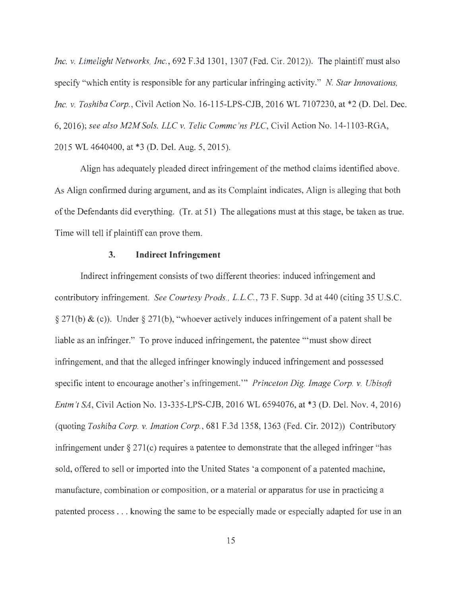*Inc. v. Limelight Networks, Inc.,* 692 F.3d 1301, 1307 (Fed. Cir. 2012)). The plaintiff must also specify "which entity is responsible for any particular infringing activity." *N Star Innovations, Inc. v. Toshiba Corp.,* Civil Action No. 16-115-LPS-CJB, 2016 WL 7107230, at \*2 (D. Del. Dec. 6, 2016); *see also M2M Sols. LLC v. Telic Commc 'ns PLC,* Civil Action No. 14-1103-RGA, 2015 WL 4640400, at \*3 (D. Del. Aug. 5, 2015).

Align has adequately pleaded direct infringement of the method claims identified above. As Align confirmed during argument, and as its Complaint indicates, Align is alleging that both of the Defendants did everything. (Tr. at 51) The allegations must at this stage, be taken as true. Time will tell if plaintiff can prove them.

#### **3. Indirect Infringement**

Indirect infringement consists of two different theories: induced infringement and contributory infringement. *See Courtesy Prods.,* L.L.C. , 73 F. Supp. 3d at 440 (citing 35 U.S.C. § 271(b) & (c)). Under§ 271(b), "whoever actively induces infringement of a patent shall be liable as an infringer." To prove induced infringement, the patentee "'must show direct infringement, and that the alleged infringer knowingly induced infringement and possessed specific intent to encourage another's infringement. "' *Princeton Dig. Image Corp. v. Ubisoft Entm 't SA,* Civil Action No. 13-335-LPS-CJB, 2016 WL 6594076, at \*3 (D. Del. Nov. 4, 2016) (quoting *Toshiba Corp. v. Imation Corp.,* 681 F.3d 1358, 1363 (Fed. Cir. 2012)) Contributory infringement under  $\S 271(c)$  requires a patentee to demonstrate that the alleged infringer "has sold, offered to sell or imported into the United States 'a component of a patented machine, manufacture, combination or composition, or a material or apparatus for use in practicing a patented process ... knowing the same to be especially made or especially adapted for use in an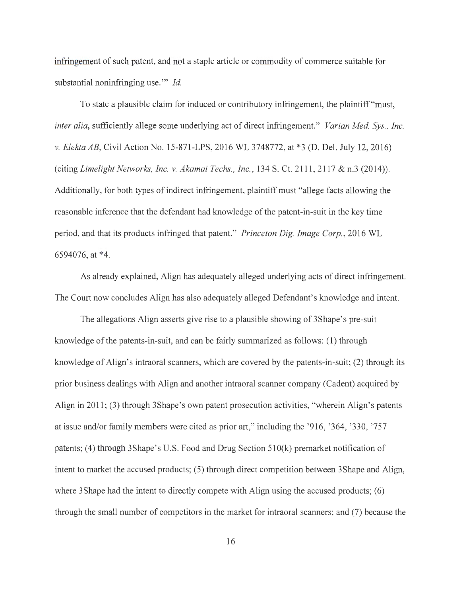infringement of such patent, and not a staple article or commodity of commerce suitable for substantial noninfringing use."' *Id.* 

To state a plausible claim for induced or contributory infringement, the plaintiff "must, *inter alia,* sufficiently allege some underlying act of direct infringement." *Varian Med. Sys., Inc. v. Elekta AB,* Civil Action No. 15-871-LPS, 2016 WL 3748772, at \*3 (D. Del. July 12, 2016) (citing *Limelight Networks, Inc. v. Akamai Techs., Inc.,* 134 S. Ct. 2111 , 2117 & n.3 (2014)). Additionally, for both types of indirect infringement, plaintiff must "allege facts allowing the reasonable inference that the defendant had knowledge of the patent-in-suit in the key time period, and that its products infringed that patent." *Princeton Dig. Image Corp.,* 2016 WL 6594076, at \*4.

As already explained, Align has adequately alleged underlying acts of direct infringement. The Court now concludes Align has also adequately alleged Defendant's knowledge and intent.

The allegations Align asserts give rise to a plausible showing of 3Shape's pre-suit knowledge of the patents-in-suit, and can be fairly summarized as follows: (1) through knowledge of Align's intraoral scanners, which are covered by the patents-in-suit; (2) through its prior business dealings with Align and another intraoral scanner company (Cadent) acquired by Align in 2011; (3) through 3Shape's own patent prosecution activities, "wherein Align's patents at issue and/or family members were cited as prior art," including the '916, '364, '330, '757 patents; (4) through 3Shape's U.S. Food and Drug Section 51 0(k) premarket notification of intent to market the accused products; (5) through direct competition between 3Shape and Align, where 3Shape had the intent to directly compete with Align using the accused products; (6) through the small number of competitors in the market for intraoral scanners; and (7) because the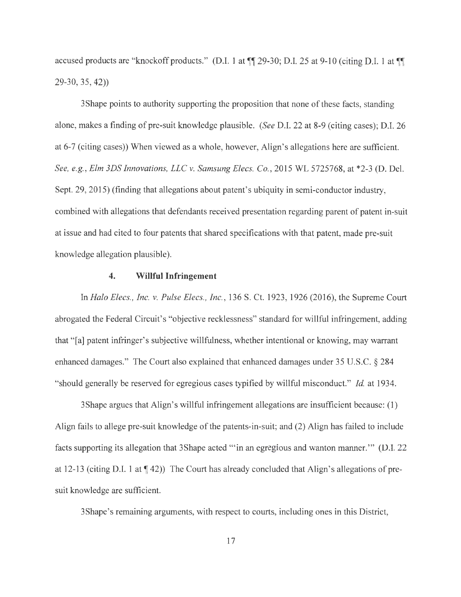accused products are "knockoff products." (D.I. 1 at  $\P$  29-30; D.I. 25 at 9-10 (citing D.I. 1 at  $\P$ 29-30, 35, 42))

3 Shape points to authority supporting the proposition that none of these facts, standing alone, makes a finding of pre-suit knowledge plausible. *(See* D.I. 22 at 8-9 (citing cases); D.I. 26 at 6-7 (citing cases)) When viewed as a whole, however, Align's allegations here are sufficient. *See, e.g. , Elm 3DS Innovations, LLC v. Samsung Elecs. Co.,* 2015 WL 5725768, at \*2-3 (D. Del. Sept. 29, 2015) (finding that allegations about patent's ubiquity in semi-conductor industry, combined with allegations that defendants received presentation regarding parent of patent in-suit at issue and had cited to four patents that shared specifications with that patent, made pre-suit knowledge allegation plausible).

#### **4. Willful Infringement**

In *Halo Elecs., Inc. v. Pulse Elecs., Inc.,* 136 S. Ct. 1923, 1926 (2016), the Supreme Court abrogated the Federal Circuit's "objective recklessness" standard for willful infringement, adding that "[a] patent infringer's subjective willfulness, whether intentional or knowing, may warrant enhanced damages." The Court also explained that enhanced damages under 35 U.S.C. § 284 "should generally be reserved for egregious cases typified by willful misconduct." *Id.* at 1934.

3Shape argues that Align's willful infringement allegations are insufficient because: (1) Align fails to allege pre-suit knowledge of the patents-in-suit; and (2) Align has failed to include facts supporting its allegation that 3 Shape acted "" in an egregious and wanton manner." (D.I. 22) at 12-13 (citing D.I. 1 at  $\P$  42)) The Court has already concluded that Align's allegations of presuit knowledge are sufficient.

3Shape's remaining arguments, with respect to courts, including ones in this District,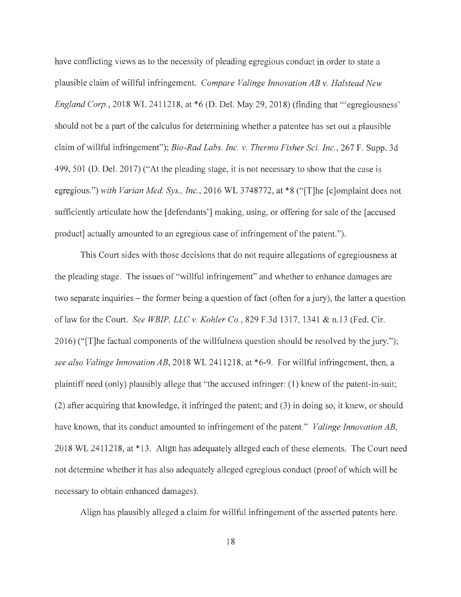have conflicting views as to the necessity of pleading egregious conduct in order to state a plausible claim of willful infringement. *Compare Valinge Innovation AB v. Halstead New England Corp.*, 2018 WL 2411218, at \*6 (D. Del. May 29, 2018) (finding that "" egregiousness" should not be a part of the calculus for determining whether a patentee has set out a plausible claim of willful infringement"); *Bio-Rad Labs. Inc. v. Thermo Fisher Sci. Inc. ,* 267 F. Supp. 3d 499, 501 (D. Del. 2017) ("At the pleading stage, it is not necessary to show that the case is egregious.") with Varian Med. Sys., Inc., 2016 WL 3748772, at \*8 ("[T]he [c]omplaint does not sufficiently articulate how the [defendants'] making, using, or offering for sale of the [ accused product] actually amounted to an egregious case of infringement of the patent.").

This Court sides with those decisions that do not require allegations of egregiousness at the pleading stage. The issues of "willful infringement" and whether to enhance damages are two separate inquiries – the former being a question of fact (often for a jury), the latter a question of law for the Court. *See WBIP, LLC v. Kohler Co. ,* 829 F.3d 1317, 1341 & n.13 (Fed. Cir. 2016) ("[T]he factual components of the willfulness question should be resolved by the jury."); *see also Valinge Innovation AB,* 2018 WL 2411218, at \*6-9. For willful infringement, then, a plaintiff need (only) plausibly allege that "the accused infringer: (1) knew of the patent-in-suit; (2) after acquiring that knowledge, it infringed the patent; and (3) in doing so, it knew, or should have known, that its conduct amounted to infringement of the patent." *Valinge Innovation AB,*  2018 WL 2411218, at \* 13. Align has adequately alleged each of these elements. The Court need not determine whether it has also adequately alleged egregious conduct (proof of which will be necessary to obtain enhanced damages).

Align has plausibly alleged a claim for willful infringement of the asserted patents here.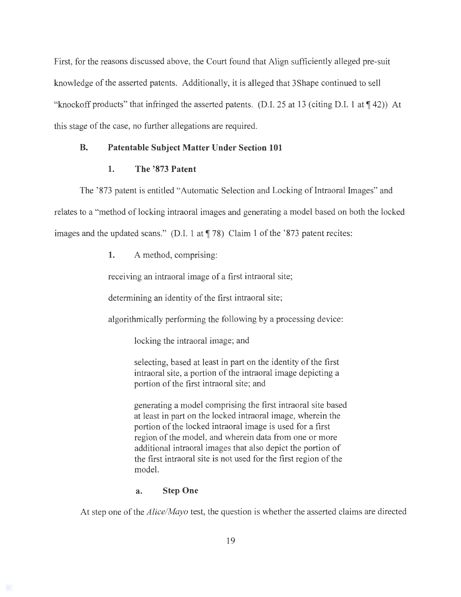First, for the reasons discussed above, the Court found that Align sufficiently alleged pre-suit knowledge of the asserted patents. Additionally, it is alleged that 3Shape continued to sell "knockoff products" that infringed the asserted patents. (D.I. 25 at 13 (citing D.I. 1 at  $\P$  42)) At this stage of the case, no further allegations are required.

## **B. Patentable Subject Matter Under Section 101**

#### **1. The '873 Patent**

The '873 patent is entitled "Automatic Selection and Locking of Intraoral Images" and relates to a "method of locking intraoral images and generating a model based on both the locked images and the updated scans." (D.I. 1 at  $\P$  78) Claim 1 of the '873 patent recites:

**1.** A method, comprising:

receiving an intraoral image of a first intraoral site;

determining an identity of the first intraoral site;

algorithmically performing the following by a processing device:

locking the intraoral image; and

selecting, based at least in part on the identity of the first intraoral site, a portion of the intraoral image depicting a portion of the first intraoral site; and

generating a model comprising the first intraoral site based at least in part on the locked intraoral image, wherein the portion of the locked intraoral image is used for a first region of the model, and wherein data from one or more additional intraoral images that also depict the portion of the first intraoral site is not used for the first region of the model.

### **a. Step One**

At step one of the *Alice/Mayo* test, the question is whether the asserted claims are directed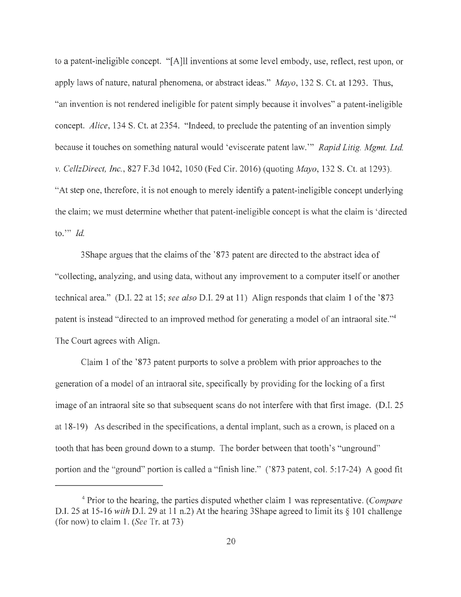to a patent-ineligible concept. "[A]ll inventions at some level embody, use, reflect, rest upon, or apply laws of nature, natural phenomena, or abstract ideas." Mayo, 132 S. Ct. at 1293. Thus, "an invention is not rendered ineligible for patent simply because it involves" a patent-ineligible concept. *Alice,* 134 S. Ct. at 2354. "Indeed, to preclude the patenting of an invention simply because it touches on something natural would 'eviscerate patent law."' *Rapid Litig. Mgmt. Ltd. v. CellzDirect, Inc. ,* 827 F.3d 1042, 1050 (Fed Cir. 2016) (quoting *Mayo,* 132 S. Ct. at 1293). "At step one, therefore, it is not enough to merely identify a patent-ineligible concept underlying the claim; we must determine whether that patent-ineligible concept is what the claim is ' directed to."' *Id.* 

3 Shape argues that the claims of the '873 patent are directed to the abstract idea of "collecting, analyzing, and using data, without any improvement to a computer itself or another technical area." (D.I. 22 at 15; *see also* D.I. 29 at 11) Align responds that claim 1 of the '873 patent is instead "directed to an improved method for generating a model of an intraoral site."4 The Court agrees with Align.

Claim 1 of the '873 patent purports to solve a problem with prior approaches to the generation of a model of an intraoral site, specifically by providing for the locking of a first image of an intraoral site so that subsequent scans do not interfere with that first image. (D.I. 25 at 18-19) As described in the specifications, a dental implant, such as a crown, is placed on a tooth that has been ground down to a stump. The border between that tooth's "unground" portion and the "ground" portion is called a "finish line." ('873 patent, col. 5:17-24) A good fit

<sup>4</sup>Prior to the hearing, the parties disputed whether claim 1 was representative. ( *Compare*  D.I. 25 at 15-16 *with* D.I. 29 at 11 n.2) At the hearing 3Shape agreed to limit its§ 101 challenge (for now) to claim 1. *(See* Tr. at 73)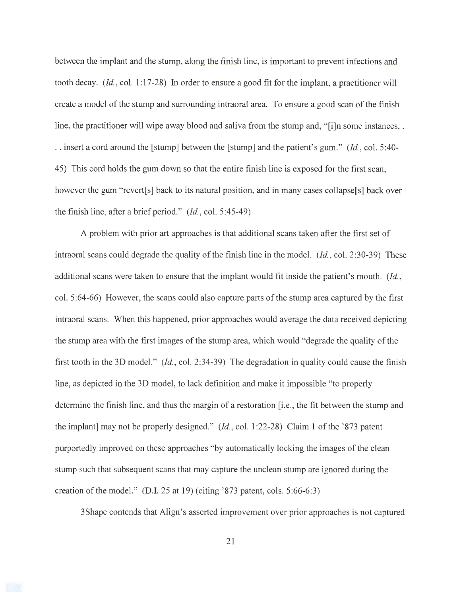between the implant and the stump, along the finish line, is important to prevent infections and tooth decay. *(Id., col. 1:17-28)* In order to ensure a good fit for the implant, a practitioner will create a model of the stump and surrounding intraoral area. To ensure a good scan of the finish line, the practitioner will wipe away blood and saliva from the stump and, "[i]n some instances, . . . insert a cord around the [stump] between the [stump] and the patient's gum." *(Id. ,* col. 5:40- 45) This cord holds the gum down so that the entire finish line is exposed for the first scan, however the gum "revert[s] back to its natural position, and in many cases collapse[s] back over the finish line, after a brief period." *(Id. ,* col. 5:45-49)

A problem with prior art approaches is that additional scans taken after the first set of intraoral scans could degrade the quality of the finish line in the model. *(Id.,* col. 2:30-39) These additional scans were taken to ensure that the implant would fit inside the patient's mouth. *(Id. ,*  col. 5:64-66) However, the scans could also capture parts of the stump area captured by the first intraoral scans. When this happened, prior approaches would average the data received depicting the stump area with the first images of the stump area, which would "degrade the quality of the first tooth in the 3D model." *(Id. ,* col. 2:34-39) The degradation in quality could cause the finish line, as depicted in the 3D model, to lack definition and make it impossible "to properly determine the finish line, and thus the margin of a restoration [i.e., the fit between the stump and the implant] may not be properly designed." *(Id. ,* col. 1:22-28) Claim 1 of the '873 patent purportedly improved on these approaches "by automatically locking the images of the clean stump such that subsequent scans that may capture the unclean stump are ignored during the creation of the model." (D.I. 25 at 19) (citing '873 patent, cols. 5:66-6:3)

3Shape contends that Align's asserted improvement over prior approaches is not captured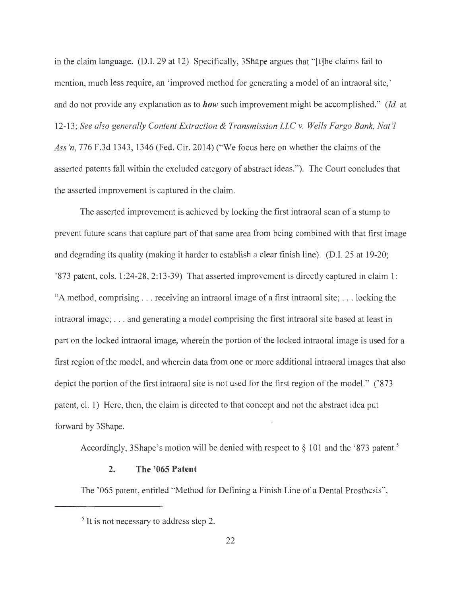in the claim language. (D.I. 29 at 12) Specifically, 3Shape argues that "[t]he claims fail to mention, much less require, an 'improved method for generating a model of an intraoral site,' and do not provide any explanation as to *how* such improvement might be accomplished." *(Id.* at 12-13; *See also generally Content Extraction & Transmission LLC v. Wells Fargo Bank, Nat '! Ass'n,* 776 F.3d 1343, 1346 (Fed. Cir. 2014) ("We focus here on whether the claims of the asserted patents fall within the excluded category of abstract ideas."). The Court concludes that the asserted improvement is captured in the claim.

The asserted improvement is achieved by locking the first intraoral scan of a stump to prevent future scans that capture part of that same area from being combined with that first image and degrading its quality (making it harder to establish a clear finish line). (D.I. 25 at 19-20; ' 873 patent, cols. 1:24-28, 2:13-39) That asserted improvement is directly captured in claim 1: "A method, comprising .. . receiving an intraoral image of a first intraoral site; ... locking the intraoral image; . .. and generating a model comprising the first intraoral site based at least in part on the locked intraoral image, wherein the portion of the locked intraoral image is used for a first region of the model, and wherein data from one or more additional intraoral images that also depict the portion of the first intraoral site is not used for the first region of the model." ('873 patent, cl. 1) Here, then, the claim is directed to that concept and not the abstract idea put forward by 3Shape.

Accordingly, 3Shape's motion will be denied with respect to § 101 and the '873 patent.<sup>5</sup>

### **2. The '065 Patent**

The '065 patent, entitled "Method for Defining a Finish Line of a Dental Prosthesis",

<sup>&</sup>lt;sup>5</sup> It is not necessary to address step 2.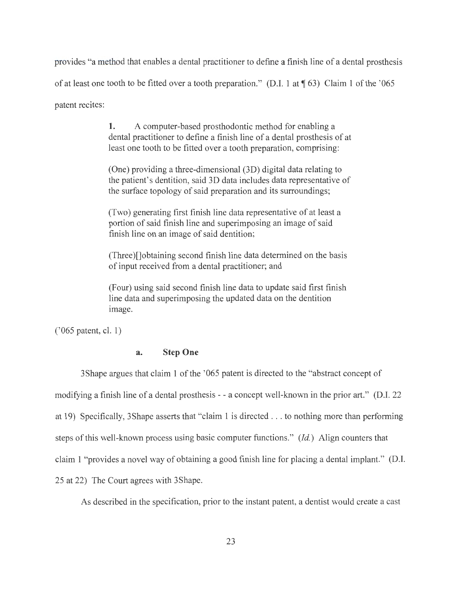provides "a method that enables a dental practitioner to define a finish line of a dental prosthesis of at least one tooth to be fitted over a tooth preparation." (D.I. 1 at  $\P$  63) Claim 1 of the '065 patent recites:

> **1.** A computer-based prosthodontic method for enabling a dental practitioner to define a finish line of a dental prosthesis of at least one tooth to be fitted over a tooth preparation, comprising:

> (One) providing a three-dimensional (3D) digital data relating to the patient's dentition, said 3D data includes data representative of the surface topology of said preparation and its surroundings;

(Two) generating first finish line data representative of at least a portion of said finish line and superimposing an image of said finish line on an image of said dentition;

(Three)[]obtaining second finish line data determined on the basis of input received from a dental practitioner; and

(Four) using said second finish line data to update said first finish line data and superimposing the updated data on the dentition image.

('065 patent, cl. 1)

# **a. Step One**

3Shape argues that claim 1 of the '065 patent is directed to the "abstract concept of modifying a finish line of a dental prosthesis - - a concept well-known in the prior art." (D.I. 22 at 19) Specifically, 3Shape asserts that "claim 1 is directed ... to nothing more than performing steps of this well-known process using basic computer functions." *(Id.)* Align counters that claim 1 "provides a novel way of obtaining a good finish line for placing a dental implant." (D.I. 25 at 22) The Court agrees with 3Shape.

As described in the specification, prior to the instant patent, a dentist would create a cast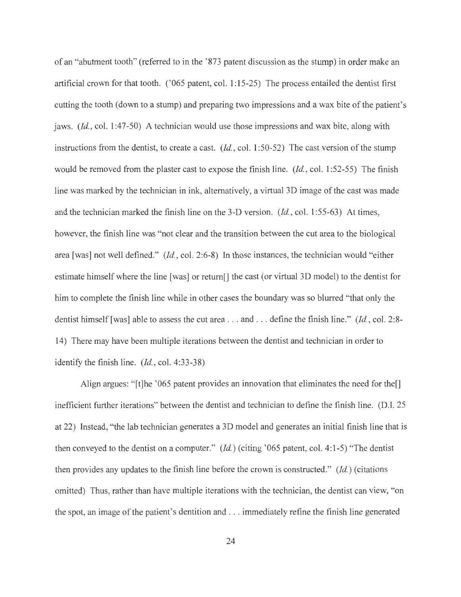of an "abutment tooth" (referred to in the '873 patent discussion as the stump) in order make an artificial crown for that tooth. ('065 patent, col. 1:15-25) The process entailed the dentist first cutting the tooth ( down to a stump) and preparing two impressions and a wax bite of the patient's jaws. *(Id.,* col. 1 :47-50) A technician would use those impressions and wax bite, along with instructions from the dentist, to create a cast. *(Id. ,* col. 1 :50-52) The cast version of the stump would be removed from the plaster cast to expose the finish line. *(Id.,* col. 1 :52-55) The finish line was marked by the technician in ink, alternatively, a virtual 3D image of the cast was made and the technician marked the finish line on the 3-D version. *(Id. ,* col. 1:55-63) At times, however, the finish line was "not clear and the transition between the cut area to the biological area [was] not well defined." *(Id. ,* col. 2:6-8) In those instances, the technician would "either estimate himself where the line [was] or return[] the cast (or virtual 3D model) to the dentist for him to complete the finish line while in other cases the boundary was so blurred "that only the dentist himself [was] able to assess the cut area . . . and . . . define the finish line." *(Id., col. 2:8-*14) There may have been multiple iterations between the dentist and technician in order to identify the finish line. *(Id. ,* col. 4:33-38)

Align argues: "[t]he '065 patent provides an innovation that eliminates the need for the. inefficient further iterations" between the dentist and technician to define the finish line. (D.I. 25 at 22) Instead, "the lab technician generates a 3D model and generates an initial finish line that is then conveyed to the dentist on a computer." *(Id.)* (citing '065 patent, col. 4:1-5) "The dentist then provides any updates to the finish line before the crown is constructed." *(Id.)* (citations omitted) Thus, rather than have multiple iterations with the technician, the dentist can view, "on the spot, an image of the patient's dentition and ... immediately refine the finish line generated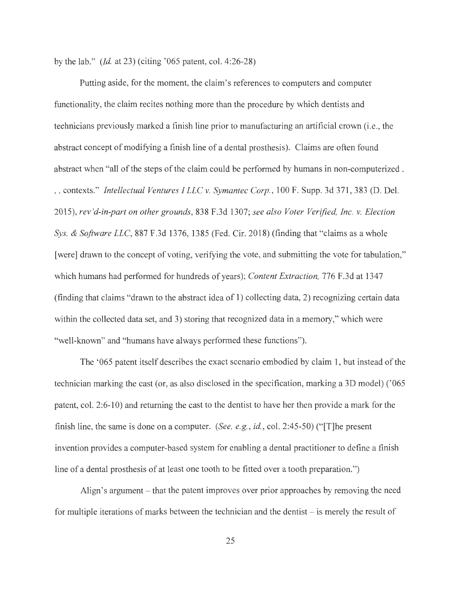by the lab." *(Id.* at 23) *(citing '065 patent, col.* 4:26-28)

Putting aside, for the moment, the claim's references to computers and computer functionality, the claim recites nothing more than the procedure by which dentists and technicians previously marked a finish line prior to manufacturing an artificial crown (i.e., the abstract concept of modifying a finish line of a dental prosthesis). Claims are often found abstract when "all of the steps of the claim could be performed by humans in non-computerized . . . contexts." *Intellectual Ventures I LLC v. Symantec Corp.,* 100 F. Supp. 3d 371,383 (D. Del. 2015), *rev'd-in-part on other grounds,* 838 F.3d 1307; *see also Voter Verified, Inc. v. Election Sys. & Software LLC,* 887 F.3d 1376, 1385 (Fed. Cir. 2018) (finding that "claims as a whole [were] drawn to the concept of voting, verifying the vote, and submitting the vote for tabulation," which humans had performed for hundreds of years); *Content Extraction,* 776 F.3d at 1347 (finding that claims "drawn to the abstract idea of 1) collecting data, 2) recognizing certain data within the collected data set, and 3) storing that recognized data in a memory," which were "well-known" and "humans have always performed these functions").

The '065 patent itself describes the exact scenario embodied by claim 1, but instead of the technician marking the cast (or, as also disclosed in the specification, marking a 3D model) ('065 patent, col. 2:6-10) and returning the cast to the dentist to have her then provide a mark for the finish line, the same is done on a computer. *(See, e.g., id., col. 2:45-50)* ("[T]he present invention provides a computer-based system for enabling a dental practitioner to define a finish line of a dental prosthesis of at least one tooth to be fitted over a tooth preparation.")

Align's argument- that the patent improves over prior approaches by removing the need for multiple iterations of marks between the technician and the dentist  $-$  is merely the result of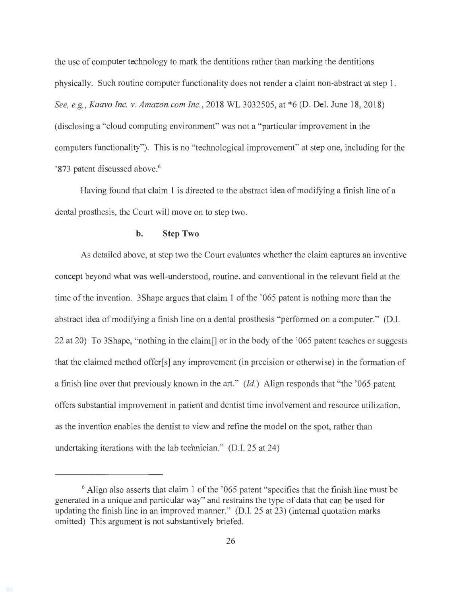the use of computer technology to mark the dentitions rather than marking the dentitions physically. Such routine computer functionality does not render a claim non-abstract at step 1. *See, e.g., Kaavo Inc. v. Amazon.com Inc.,* 2018 WL 3032505, at \*6 (D. Del. June 18, 2018) ( disclosing a "cloud computing environment" was not a "particular improvement in the computers functionality"). This is no "technological improvement" at step one, including for the '873 patent discussed above.<sup>6</sup>

Having found that claim 1 is directed to the abstract idea of modifying a finish line of a dental prosthesis, the Court will move on to step two.

#### **b. Step Two**

As detailed above, at step two the Court evaluates whether the claim captures an inventive concept beyond what was well-understood, routine, and conventional in the relevant field at the time of the invention. 3Shape argues that claim 1 of the '065 patent is nothing more than the abstract idea of modifying a finish line on a dental prosthesis "performed on a computer." (D.I. 22 at 20) To 3Shape, "nothing in the claim[] or in the body of the ' 065 patent teaches or suggests that the claimed method offer[ s] any improvement (in precision or otherwise) in the formation of a finish line over that previously known in the art." *(Id.)* Align responds that "the '065 patent offers substantial improvement in patient and dentist time involvement and resource utilization, as the invention enables the dentist to view and refine the model on the spot, rather than undertaking iterations with the lab technician." (D.I. 25 at 24)

<sup>6</sup> Align also asserts that claim 1 of the '065 patent "specifies that the finish line must be generated in a unique and particular way" and restrains the type of data that can be used for updating the finish line in an improved manner." (D.I. 25 at 23) (internal quotation marks omitted) This argument is not substantively briefed.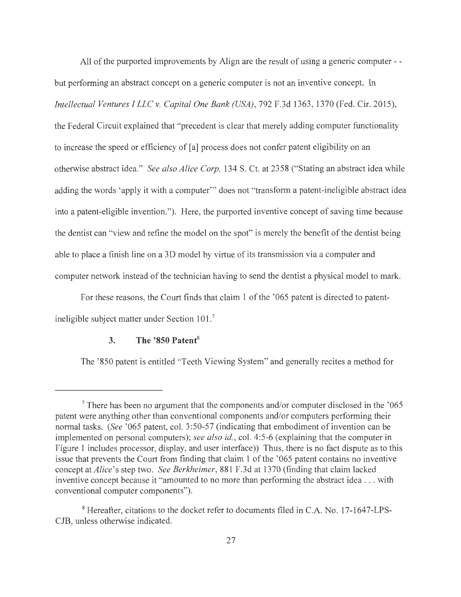All of the purported improvements by Align are the result of using a generic computer - but performing an abstract concept on a generic computer is not an inventive concept. In *Intellectual Ventures I LLC v. Capital One Bank (USA),* 792 F.3d 1363, 1370 (Fed. Cir. 2015), the Federal Circuit explained that "precedent is clear that merely adding computer functionality to increase the speed or efficiency of [a] process does not confer patent eligibility on an otherwise abstract idea." *See also Alice Corp,* 134 S. Ct. at 2358 ("Stating an abstract idea while adding the words 'apply it with a computer"' does not "transform a patent-ineligible abstract idea into a patent-eligible invention."). Here, the purported inventive concept of saving time because the dentist can "view and refine the model on the spot" is merely the benefit of the dentist being able to place a finish line on a 3D model by virtue of its transmission via a computer and computer network instead of the technician having to send the dentist a physical model to mark.

For these reasons, the Court finds that claim 1 of the '065 patent is directed to patentineligible subject matter under Section 101.<sup>7</sup>

# **3. The '850 Patent<sup>8</sup>**

The '850 patent is entitled "Teeth Viewing System" and generally recites a method for

 $7$  There has been no argument that the components and/or computer disclosed in the  $1065$ patent were anything other than conventional components and/or computers performing their normal tasks. *(See '065 patent, col. 3:50-57 (indicating that embodiment of invention can be* implemented on personal computers); *see also id. ,* col. 4:5-6 (explaining that the computer in Figure 1 includes processor, display, and user interface)) Thus, there is no fact dispute as to this issue that prevents the Court from finding that claim 1 of the '065 patent contains no inventive concept at *Alice's* step two. *See Berkheimer,* 881 F.3d at 1370 (finding that claim lacked inventive concept because it "amounted to no more than performing the abstract idea ... with conventional computer components").

<sup>8</sup> Hereafter, citations to the docket refer to documents filed in C.A. No. 17-1647-LPS-CJB, unless otherwise indicated.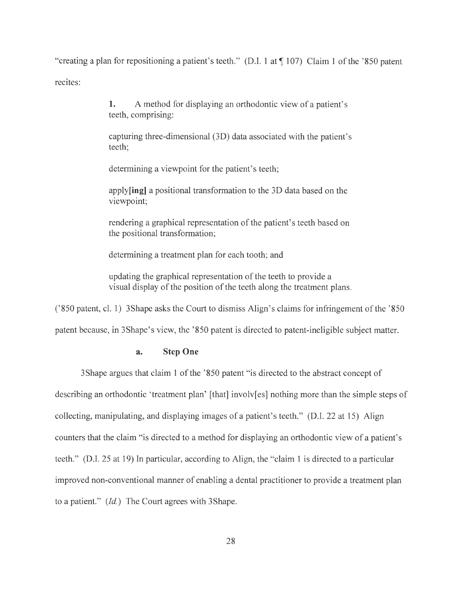"creating a plan for repositioning a patient's teeth." (D.I. 1 at ¶ 107) Claim 1 of the '850 patent recites:

> **1.** A method for displaying an orthodontic view of a patient's teeth, comprising:

capturing three-dimensional (3D) data associated with the patient's teeth;

determining a viewpoint for the patient's teeth;

**apply[ing]** a positional transformation to the 3D data based on the viewpoint;

rendering a graphical representation of the patient's teeth based on the positional transformation;

determining a treatment plan for each tooth; and

updating the graphical representation of the teeth to provide a visual display of the position of the teeth along the treatment plans.

('850 patent, cl. 1) 3Shape asks the Court to dismiss Align's claims for infringement of the '850

patent because, in 3Shape's view, the '850 patent is directed to patent-ineligible subject matter.

# **a. Step One**

3Shape argues that claim 1 of the '850 patent "is directed to the abstract concept of describing an orthodontic 'treatment plan' [that] involv[es] nothing more than the simple steps of collecting, manipulating, and displaying images of a patient's teeth." (D.I. 22 at 15) Align counters that the claim "is directed to a method for displaying an orthodontic view of a patient's teeth." (D.I. 25 at 19) In particular, according to Align, the "claim 1 is directed to a particular improved non-conventional manner of enabling a dental practitioner to provide a treatment plan to a patient." *(Id.)* The Court agrees with 3 Shape.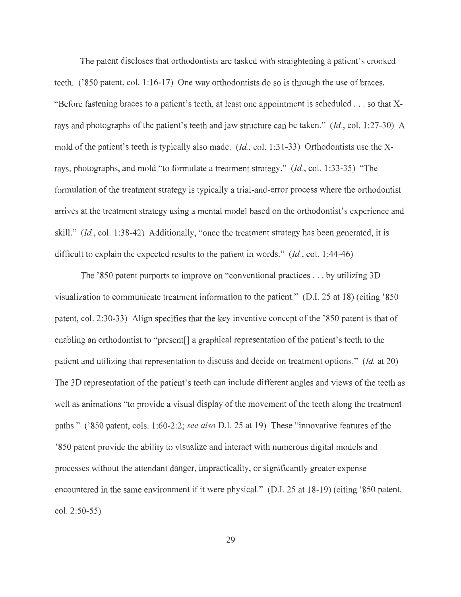The patent discloses that orthodontists are tasked with straightening a patient's crooked teeth. ('850 patent, col. 1:16-17) One way orthodontists do so is through the use of braces. "Before fastening braces to a patient's teeth, at least one appointment is scheduled . . . so that Xrays and photographs of the patient's teeth and jaw structure can be taken." *(Id., col. 1:27-30)* A mold of the patient's teeth is typically also made. *(Id., col. 1:31-33)* Orthodontists use the Xrays, photographs, and mold "to formulate a treatment strategy." *(Id. ,* col. 1 :33-35) "The formulation of the treatment strategy is typically a trial-and-error process where the orthodontist arrives at the treatment strategy using a mental model based on the orthodontist's experience and skill." *(Id.,* col. 1:38-42) Additionally, "once the treatment strategy has been generated, it is difficult to explain the expected results to the patient in words." *(Id., col. 1:44-46)* 

The '850 patent purports to improve on "conventional practices ... by utilizing 3D visualization to communicate treatment information to the patient." (D.I. 25 at 18) (citing '850 patent, col. 2:30-33) Align specifies that the key inventive concept of the '850 patent is that of enabling an orthodontist to "present<sup>[]</sup> a graphical representation of the patient's teeth to the patient and utilizing that representation to discuss and decide on treatment options." *(Id.* at 20) The 3D representation of the patient's teeth can include different angles and views of the teeth as well as animations "to provide a visual display of the movement of the teeth along the treatment paths." ('850 patent, cols. 1:60-2:2; *see also* D.I. 25 at 19) These "innovative features of the '850 patent provide the ability to visualize and interact with numerous digital models and processes without the attendant danger, impracticality, or significantly greater expense encountered in the same environment if it were physical." (D.I. 25 at 18-19) (citing '850 patent, col. 2:50-55)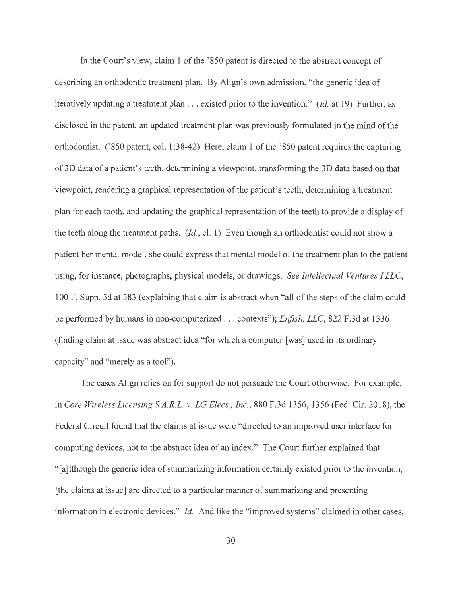In the Court's view, claim 1 of the '850 patent is directed to the abstract concept of describing an orthodontic treatment plan. By Align's own admission, "the generic idea of iteratively updating a treatment plan . .. existed prior to the invention." *(Id.* at 19) Further, as disclosed in the patent, an updated treatment plan was previously formulated in the mind of the orthodontist. ('850 patent, col. 1:38-42) Here, claim 1 of the ' 850 patent requires the capturing of 3 D data of a patient's teeth, determining a viewpoint, transforming the 3 D data based on that viewpoint, rendering a graphical representation of the patient's teeth, determining a treatment plan for each tooth, and updating the graphical representation of the teeth to provide a display of the teeth along the treatment paths. *(Id. ,* cl. 1) Even though an orthodontist could not show a patient her mental model, she could express that mental model of the treatment plan to the patient using, for instance, photographs, physical models, or drawings. *See Intellectual Ventures I LLC,*  100 F. Supp. 3d at 383 (explaining that claim is abstract when "all of the steps of the claim could be performed by humans in non-computerized . .. contexts"); *Enfish, LLC,* 822 F.3d at 1336 (finding claim at issue was abstract idea "for which a computer [was] used in its ordinary capacity" and "merely as a tool").

The cases Align relies on for support do not persuade the Court otherwise. For example, in *Core Wireless Licensing S.A.R.L. v. LG Elecs., Inc.,* 880 F.3d 1356, 1356 (Fed. Cir. 2018), the Federal Circuit found that the claims at issue were "directed to an improved user interface for computing devices, not to the abstract idea of an index." The Court further explained that "[a]lthough the generic idea of summarizing information certainly existed prior to the invention, [ the claims at issue] are directed to a particular manner of summarizing and presenting information in electronic devices." *Id.* And like the "improved systems" claimed in other cases,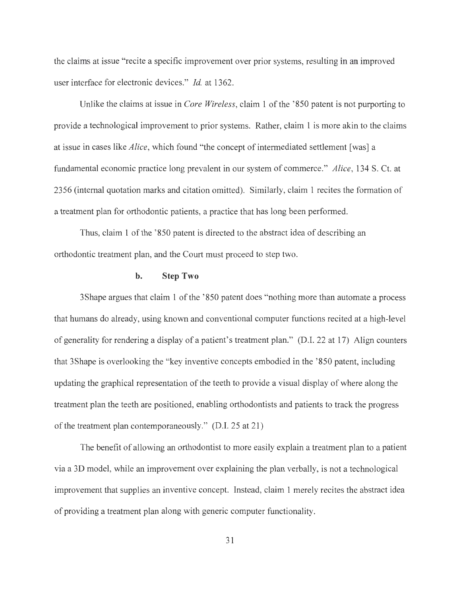the claims at issue "recite a specific improvement over prior systems, resulting in an improved user interface for electronic devices." *Id.* at 1362.

Unlike the claims at issue in *Core Wireless,* claim 1 of the ' 850 patent is not purporting to provide a technological improvement to prior systems. Rather, claim 1 is more akin to the claims at issue in cases like *Alice,* which found "the concept of intermediated settlement [was] a fundamental economic practice long prevalent in our system of commerce." *Alice,* 134 S. Ct. at 2356 (internal quotation marks and citation omitted). Similarly, claim 1 recites the formation of a treatment plan for orthodontic patients, a practice that has long been performed.

Thus, claim 1 of the '850 patent is directed to the abstract idea of describing an orthodontic treatment plan, and the Court must proceed to step two.

### **b. Step Two**

3Shape argues that claim 1 of the ' 850 patent does "nothing more than automate a process that humans do already, using known and conventional computer functions recited at a high-level of generality for rendering a display of a patient's treatment plan." (D.I. 22 at 17) Align counters that 3Shape is overlooking the "key inventive concepts embodied in the ' 850 patent, including updating the graphical representation of the teeth to provide a visual display of where along the treatment plan the teeth are positioned, enabling orthodontists and patients to track the progress of the treatment plan contemporaneously." (D.I. 25 at 21)

The benefit of allowing an orthodontist to more easily explain a treatment plan to a patient via a 3D model, while an improvement over explaining the plan verbally, is not a technological improvement that supplies an inventive concept. Instead, claim 1 merely recites the abstract idea of providing a treatment plan along with generic computer functionality.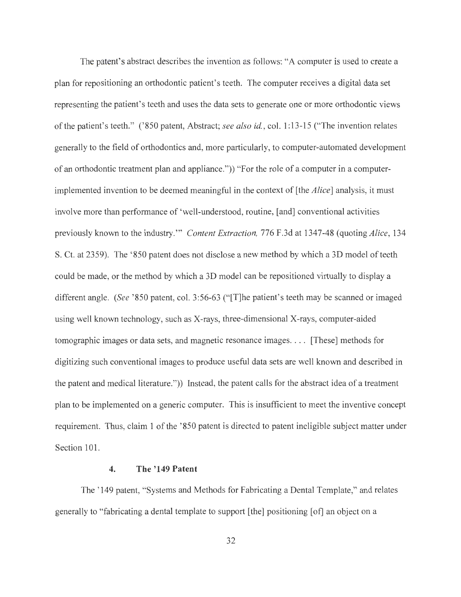The patent's abstract describes the invention as follows: "A computer is used to create a plan for repositioning an orthodontic patient's teeth. The computer receives a digital data set representing the patient's teeth and uses the data sets to generate one or more orthodontic views of the patient's teeth." ('850 patent, Abstract; *see also id. ,* col. 1:13-15 ("The invention relates generally to the field of orthodontics and, more particularly, to computer-automated development of an orthodontic treatment plan and appliance.")) "For the role of a computer in a computerimplemented invention to be deemed meaningful in the context of [the *Alice]* analysis, it must involve more than performance of 'well-understood, routine, [ and] conventional activities previously known to the industry. "' *Content Extraction,* 776 F.3d at 1347-48 (quoting *Alice,* 134 S. Ct. at 2359). The '850 patent does not disclose a new method by which a 3D model of teeth could be made, or the method by which a 3D model can be repositioned virtually to display a different angle. *(See* '850 patent, col. 3:56-63 ("[T]he patient's teeth may be scanned or imaged using well known technology, such as X-rays, three-dimensional X-rays, computer-aided tomographic images or data sets, and magnetic resonance images. . . . [These] methods for digitizing such conventional images to produce useful data sets are well known and described in the patent and medical literature.")) Instead, the patent calls for the abstract idea of a treatment plan to be implemented on a generic computer. This is insufficient to meet the inventive concept requirement. Thus, claim 1 of the '850 patent is directed to patent ineligible subject matter under Section 101.

## **4. The '149 Patent**

The ' 149 patent, "Systems and Methods for Fabricating a Dental Template," and relates generally to "fabricating a dental template to support [the] positioning [of] an object on a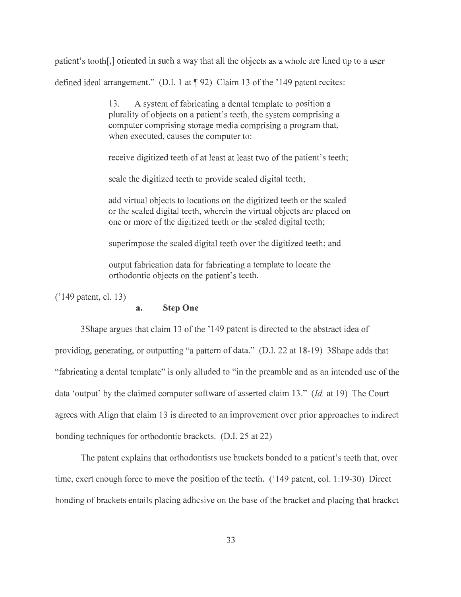patient's tooth[,] oriented in such a way that all the objects as a whole are lined up to a user defined ideal arrangement." (D.I. 1 at  $\P$  92) Claim 13 of the '149 patent recites:

> 13. A system of fabricating a dental template to position a plurality of objects on a patient's teeth, the system comprising a computer comprising storage media comprising a program that, when executed, causes the computer to:

receive digitized teeth of at least at least two of the patient's teeth;

scale the digitized teeth to provide scaled digital teeth;

add virtual objects to locations on the digitized teeth or the scaled or the scaled digital teeth, wherein the virtual objects are placed on one or more of the digitized teeth or the scaled digital teeth;

superimpose the scaled digital teeth over the digitized teeth; and

output fabrication data for fabricating a template to locate the orthodontic objects on the patient's teeth.

('149 patent, cl. 13)

### **a. Step One**

3Shape argues that claim 13 of the ' 149 patent is directed to the abstract idea of providing, generating, or outputting "a pattern of data." (D.I. 22 at 18-19) 3 Shape adds that "fabricating a dental template" is only alluded to "in the preamble and as an intended use of the data 'output' by the claimed computer software of asserted claim 13." *(Id.* at 19) The Court agrees with Align that claim 13 is directed to an improvement over prior approaches to indirect bonding techniques for orthodontic brackets. (D.I. 25 at 22)

The patent explains that orthodontists use brackets bonded to a patient's teeth that, over time, exert enough force to move the position of the teeth. (' 149 patent, col. 1: 19-30) Direct bonding of brackets entails placing adhesive on the base of the bracket and placing that bracket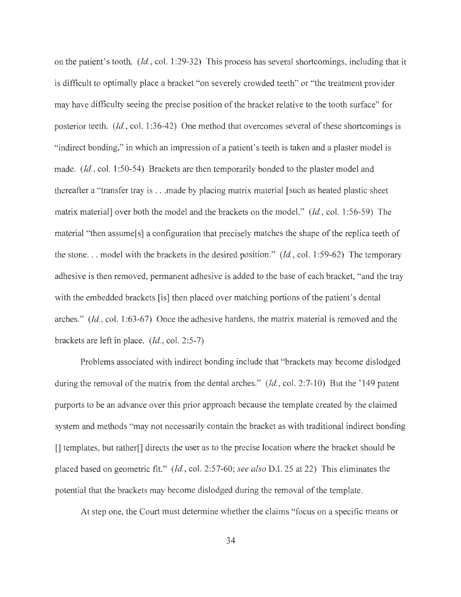on the patient's tooth. *(Id. ,* col. 1 :29-32) This process has several shortcomings, including that it is difficult to optimally place a bracket "on severely crowded teeth" or "the treatment provider may have difficulty seeing the precise position of the bracket relative to the tooth surface" for posterior teeth. *(Id. ,* col. 1 :36-42) One method that overcomes several of these shortcomings is "indirect bonding," in which an impression of a patient's teeth is taken and a plaster model is made. *(Id.,* col. 1 :50-54) Brackets are then temporarily bonded to the plaster model and thereafter a "transfer tray is ... made by placing matrix material [ such as heated plastic sheet matrix material] over both the model and the brackets on the model." *(Id. ,* col. 1 :56-59) The material "then assume[s] a configuration that precisely matches the shape of the replica teeth of the stone... model with the brackets in the desired position." *(Id., col. 1:59-62)* The temporary adhesive is then removed, permanent adhesive is added to the base of each bracket, "and the tray with the embedded brackets [is] then placed over matching portions of the patient's dental arches." *(Id. ,* col. 1 :63-67) Once the adhesive hardens, the matrix material is removed and the brackets are left in place. *(Id. ,* col. 2:5-7)

Problems associated with indirect bonding include that "brackets may become dislodged during the removal of the matrix from the dental arches." *(Id.,* col. 2:7-10) But the '149 patent purports to be an advance over this prior approach because the template created by the claimed system and methods "may not necessarily contain the bracket as with traditional indirect bonding [] templates, but rather[] directs the user as to the precise location where the bracket should be placed based on geometric fit." *(Id.,* col. 2:57-60; *see also* D.I. 25 at 22) This eliminates the potential that the brackets may become dislodged during the removal of the template.

At step one, the Court must determine whether the claims "focus on a specific means or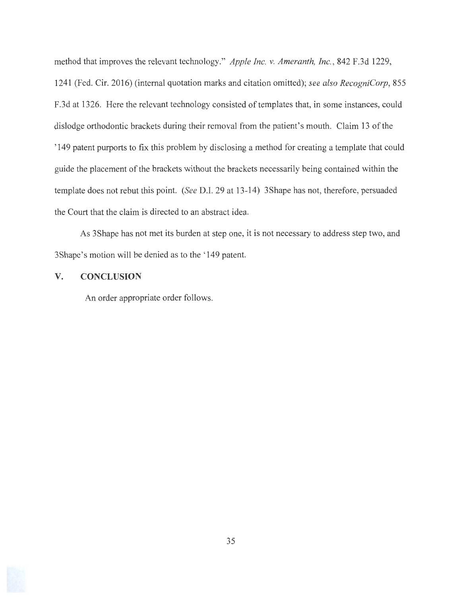method that improves the relevant technology." *Apple Inc. v. Ameranth, Inc.,* 842 F.3d 1229, 1241 (Fed. Cir. 2016) (internal quotation marks and citation omitted); *see also RecogniCorp,* 855 F.3d at 1326. Here the relevant technology consisted of templates that, in some instances, could dislodge orthodontic brackets during their removal from the patient's mouth. Claim 13 of the '149 patent purports to fix this problem by disclosing a method for creating a template that could guide the placement of the brackets without the brackets necessarily being contained within the template does not rebut this point. *(See* D.I. 29 at 13-14) 3Shape has not, therefore, persuaded the Court that the claim is directed to an abstract idea.

As 3Shape has not met its burden at step one, it is not necessary to address step two, and 3 Shape's motion will be denied as to the '149 patent.

## **V. CONCLUSION**

An order appropriate order follows.

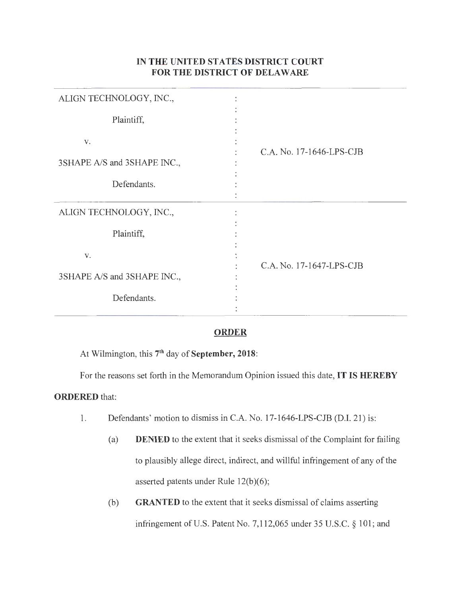# **IN THE UNITED STATES DISTRICT COURT FOR THE DISTRICT OF DELAWARE**

| ALIGN TECHNOLOGY, INC.,     |                          |
|-----------------------------|--------------------------|
| Plaintiff,                  |                          |
| V.                          | C.A. No. 17-1646-LPS-CJB |
| 3SHAPE A/S and 3SHAPE INC., |                          |
| Defendants.                 |                          |
|                             |                          |
| ALIGN TECHNOLOGY, INC.,     |                          |
| Plaintiff,                  |                          |
| V.                          |                          |
|                             | C.A. No. 17-1647-LPS-CJB |
| 3SHAPE A/S and 3SHAPE INC., |                          |
| Defendants.                 |                          |
|                             |                          |

# **ORDER**

At Wilmington, this 7<sup>th</sup> day of **September, 2018**:

For the reasons set forth in the Memorandum Opinion issued this date, **IT IS HEREBY** 

# **ORDERED** that:

- 1. Defendants' motion to dismiss in C.A. No. 17-1646-LPS-CJB (D.I. 21) is:
	- (a) **DENIED** to the extent that it seeks dismissal of the Complaint for failing to plausibly allege direct, indirect, and willful infringement of any of the asserted patents under Rule 12(b)(6);
	- (b) **GRANTED** to the extent that it seeks dismissal of claims asserting infringement of U.S. Patent No. 7,112,065 under 35 U.S.C. § 101; and